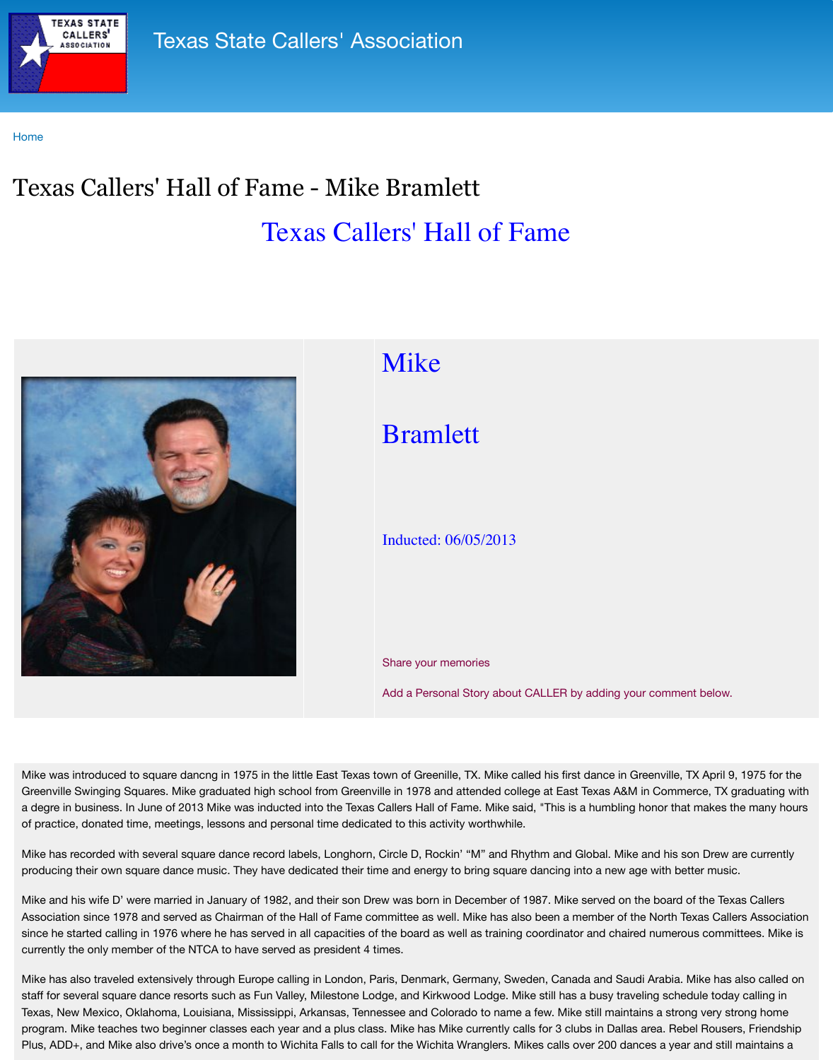

## [Bramle](http://www.txcallers.com/)tt

## Inducted: 06/05/2013

Share your memories

Add a Personal Story about C

Mike was introduced to square dancng in 1975 in the little East Texas town of Greenille, TX. Mike calle Greenville Swinging Squares. Mike graduated high school from Greenville in 1978 and attended colleg a degre in business. In June of 2013 Mike was inducted into the Texas Callers Hall of Fame. Mike said of practice, donated time, meetings, lessons and personal time dedicated to this activity worthwhile.

Mike has recorded with several square dance record labels, Longhorn, Circle D, Rockin' "M" and Rhy producing their own square dance music. They have dedicated their time and energy to bring square

Mike and his wife D' were married in January of 1982, and their son Drew was born in December of 1987. Association since 1978 and served as Chairman of the Hall of Fame committee as well. Mike has also since he started calling in 1976 where he has served in all capacities of the board as well as training c currently the only member of the NTCA to have served as president 4 times.

Mike has also traveled extensively through Europe calling in London, Paris, Denmark, Germany, Sweden, Canada and Saudi Arabia. Mike has also traveled extensively through Europe calling in London, Paris, Denmark, Germany, S staff for several square dance resorts such as Fun Valley, Milestone Lodge, and Kirkwood Lodge. Mik Texas, New Mexico, Oklahoma, Louisiana, Mississippi, Arkansas, Tennessee and Colorado to name a program. Mike teaches two beginner classes each year and a plus class. Mike has Mike currently call Plus, ADD+, and Mike also drive's once a month to Wichita Falls to call for the Wichita Wranglers. Mik